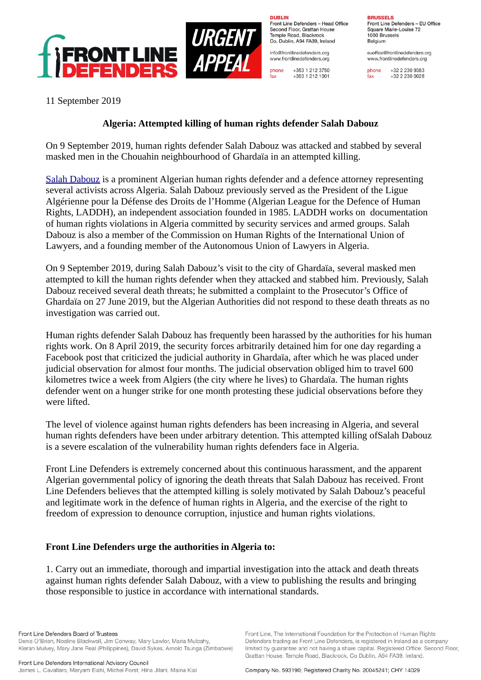

**DURLIN** Front Line Defenders - Head Office Second Floor, Grattan House Temple Boad, Blackrock Co. Dublin, A94 FA39, Ireland

info@frontlinedefenders.org www.frontlinedefenders.org

+353 1 212 3750 phone fax +353 1 212 1001 **BDHCCELC** Front Line Defenders - EU Office Square Marie-Louise 72 1000 Brussels Belgium

euoffice@frontlinedefenders.org www.frontlinedefenders.org

+32 2 230 9383 phone  $fax$ +32 2 230 0028

11 September 2019

## **Algeria: Attempted killing of human rights defender Salah Dabouz**

On 9 September 2019, human rights defender Salah Dabouz was attacked and stabbed by several masked men in the Chouahin neighbourhood of Ghardaïa in an attempted killing.

[Salah Dabouz](https://www.frontlinedefenders.org/en/case/intimidation-harassment-salah-dabouz) is a prominent Algerian human rights defender and a defence attorney representing several activists across Algeria. Salah Dabouz previously served as the President of the Ligue Algérienne pour la Défense des Droits de l'Homme (Algerian League for the Defence of Human Rights, LADDH), an independent association founded in 1985. LADDH works on documentation of human rights violations in Algeria committed by security services and armed groups. Salah Dabouz is also a member of the Commission on Human Rights of the International Union of Lawyers, and a founding member of the Autonomous Union of Lawyers in Algeria.

On 9 September 2019, during Salah Dabouz's visit to the city of Ghardaïa, several masked men attempted to kill the human rights defender when they attacked and stabbed him. Previously, Salah Dabouz received several death threats; he submitted a complaint to the Prosecutor's Office of Ghardaïa on 27 June 2019, but the Algerian Authorities did not respond to these death threats as no investigation was carried out.

Human rights defender Salah Dabouz has frequently been harassed by the authorities for his human rights work. On 8 April 2019, the security forces arbitrarily detained him for one day regarding a Facebook post that criticized the judicial authority in Ghardaïa, after which he was placed under judicial observation for almost four months. The judicial observation obliged him to travel 600 kilometres twice a week from Algiers (the city where he lives) to Ghardaïa. The human rights defender went on a hunger strike for one month protesting these judicial observations before they were lifted.

The level of violence against human rights defenders has been increasing in Algeria, and several human rights defenders have been under arbitrary detention. This attempted killing ofSalah Dabouz is a severe escalation of the vulnerability human rights defenders face in Algeria.

Front Line Defenders is extremely concerned about this continuous harassment, and the apparent Algerian governmental policy of ignoring the death threats that Salah Dabouz has received. Front Line Defenders believes that the attempted killing is solely motivated by Salah Dabouz's peaceful and legitimate work in the defence of human rights in Algeria, and the exercise of the right to freedom of expression to denounce corruption, injustice and human rights violations.

## **Front Line Defenders urge the authorities in Algeria to:**

1. Carry out an immediate, thorough and impartial investigation into the attack and death threats against human rights defender Salah Dabouz, with a view to publishing the results and bringing those responsible to justice in accordance with international standards.

Front Line Defenders Board of Trustees Denis O'Brien, Noeline Blackwell, Jim Conway, Mary Lawlor, Maria Mulcahy, Kieran Mulvey, Mary Jane Real (Philippines), David Sykes, Arnold Tsunga (Zimbabwe)

Front Line Defenders International Advisory Council James L. Cavallaro, Maryam Elahi, Michel Forst, Hina Jilani, Maina Kiai

Front Line, The International Foundation for the Protection of Human Rights Defenders trading as Front Line Defenders, is registered in Ireland as a company limited by guarantee and not having a share capital. Registered Office: Second Floor, Grattan House, Temple Road, Blackrock, Co Dublin, A94 FA39, Ireland.

Company No. 593190; Registered Charity No. 20045241; CHY 14029